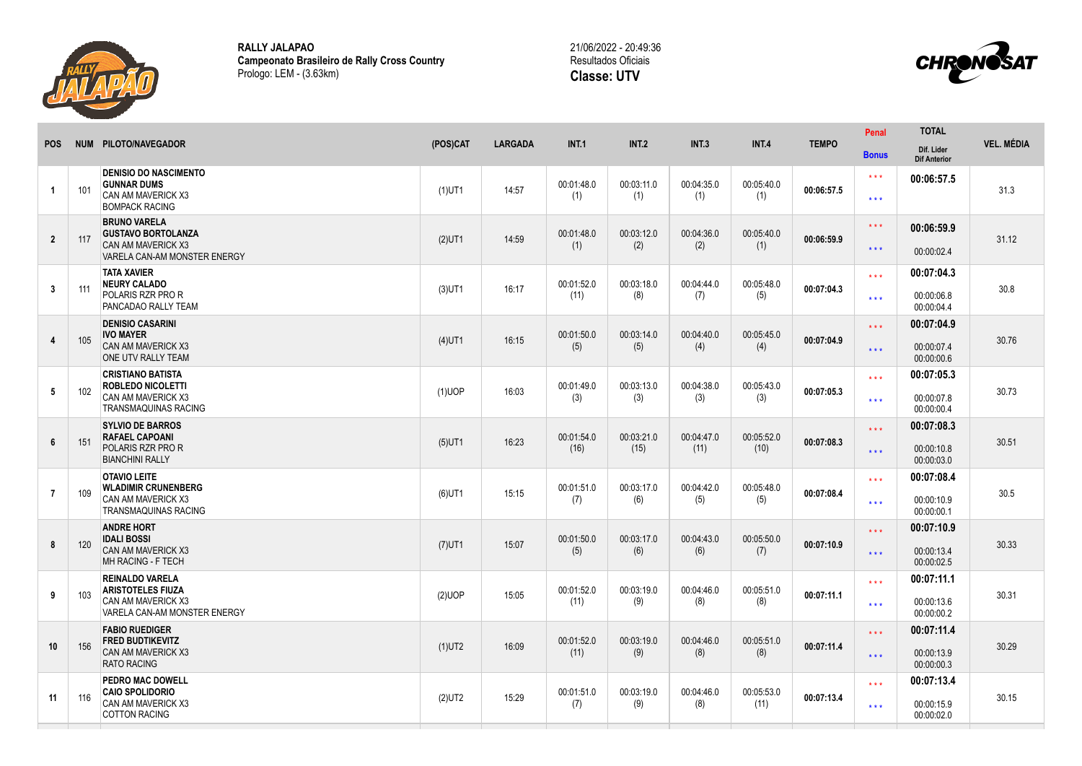

**RALLY JALAPAO Campeonato Brasileiro de Rally Cross Country** Prologo: LEM - (3.63km)



| <b>POS</b>      |     | NUM PILOTO/NAVEGADOR                                                                                             | (POS)CAT  | <b>LARGADA</b> | <b>INT.1</b>       | <b>INT.2</b>       | <b>INT.3</b>       | <b>INT.4</b>       | <b>TEMPO</b> | Penal                                      | <b>TOTAL</b>                           | <b>VEL. MÉDIA</b> |
|-----------------|-----|------------------------------------------------------------------------------------------------------------------|-----------|----------------|--------------------|--------------------|--------------------|--------------------|--------------|--------------------------------------------|----------------------------------------|-------------------|
|                 |     |                                                                                                                  |           |                |                    |                    |                    |                    |              | <b>Bonus</b>                               | Dif. Lider<br><b>Dif Anterior</b>      |                   |
| -1              | 101 | <b>DENISIO DO NASCIMENTO</b><br><b>GUNNAR DUMS</b><br><b>CAN AM MAVERICK X3</b><br><b>BOMPACK RACING</b>         | $(1)$ UT1 | 14:57          | 00:01:48.0<br>(1)  | 00:03:11.0<br>(1)  | 00:04:35.0<br>(1)  | 00:05:40.0<br>(1)  | 00:06:57.5   | $\star\star\star$<br>$\star\star\star$     | 00:06:57.5                             | 31.3              |
| $\overline{2}$  | 117 | <b>BRUNO VARELA</b><br><b>GUSTAVO BORTOLANZA</b><br><b>CAN AM MAVERICK X3</b><br>VARELA CAN-AM MONSTER ENERGY    | $(2)$ UT1 | 14:59          | 00:01:48.0<br>(1)  | 00:03:12.0<br>(2)  | 00:04:36.0<br>(2)  | 00:05:40.0<br>(1)  | 00:06:59.9   | $\star\star\star$<br>$\star\star\star$     | 00:06:59.9<br>00:00:02.4               | 31.12             |
| $\mathbf{3}$    | 111 | <b>TATA XAVIER</b><br><b>NEURY CALADO</b><br><b>POLARIS RZR PRO R</b><br>PANCADAO RALLY TEAM                     | $(3)$ UT1 | 16:17          | 00:01:52.0<br>(11) | 00:03:18.0<br>(8)  | 00:04:44.0<br>(7)  | 00:05:48.0<br>(5)  | 00:07:04.3   | $* * *$<br>$\star \star \star$             | 00:07:04.3<br>00:00:06.8<br>00:00:04.4 | 30.8              |
| $\overline{4}$  | 105 | <b>DENISIO CASARINI</b><br><b>IVO MAYER</b><br>CAN AM MAVERICK X3<br>ONE UTV RALLY TEAM                          | $(4)$ UT1 | 16:15          | 00:01:50.0<br>(5)  | 00:03:14.0<br>(5)  | 00:04:40.0<br>(4)  | 00:05:45.0<br>(4)  | 00:07:04.9   | $\star \star \star$<br>$\star\star\star$   | 00:07:04.9<br>00:00:07.4<br>00:00:00.6 | 30.76             |
| $5\phantom{.0}$ | 102 | <b>CRISTIANO BATISTA</b><br><b>ROBLEDO NICOLETTI</b><br><b>CAN AM MAVERICK X3</b><br><b>TRANSMAQUINAS RACING</b> | $(1)$ UOP | 16:03          | 00:01:49.0<br>(3)  | 00:03:13.0<br>(3)  | 00:04:38.0<br>(3)  | 00:05:43.0<br>(3)  | 00:07:05.3   | $\star \star \star$<br>$\star \star \star$ | 00:07:05.3<br>00:00:07.8<br>00:00:00.4 | 30.73             |
| $6\phantom{1}$  | 151 | <b>SYLVIO DE BARROS</b><br><b>RAFAEL CAPOANI</b><br><b>POLARIS RZR PRO R</b><br><b>BIANCHINI RALLY</b>           | $(5)$ UT1 | 16:23          | 00:01:54.0<br>(16) | 00:03:21.0<br>(15) | 00:04:47.0<br>(11) | 00:05:52.0<br>(10) | 00:07:08.3   | $\star \star \star$<br>$\star\star\star$   | 00:07:08.3<br>00:00:10.8<br>00:00:03.0 | 30.51             |
| $\overline{7}$  | 109 | <b>OTAVIO LEITE</b><br><b>WLADIMIR CRUNENBERG</b><br><b>CAN AM MAVERICK X3</b><br><b>TRANSMAQUINAS RACING</b>    | $(6)$ UT1 | 15:15          | 00:01:51.0<br>(7)  | 00:03:17.0<br>(6)  | 00:04:42.0<br>(5)  | 00:05:48.0<br>(5)  | 00:07:08.4   | $* * *$<br>$***$                           | 00:07:08.4<br>00:00:10.9<br>00:00:00.1 | 30.5              |
| 8               | 120 | <b>ANDRE HORT</b><br><b>IDALI BOSSI</b><br><b>CAN AM MAVERICK X3</b><br>MH RACING - F TECH                       | $(7)$ UT1 | 15:07          | 00:01:50.0<br>(5)  | 00:03:17.0<br>(6)  | 00:04:43.0<br>(6)  | 00:05:50.0<br>(7)  | 00:07:10.9   | $\star \star \star$<br>$\star\star\star$   | 00:07:10.9<br>00:00:13.4<br>00:00:02.5 | 30.33             |
| 9               | 103 | <b>REINALDO VARELA</b><br><b>ARISTOTELES FIUZA</b><br>CAN AM MAVERICK X3<br>VARELA CAN-AM MONSTER ENERGY         | (2)UOP    | 15:05          | 00:01:52.0<br>(11) | 00:03:19.0<br>(9)  | 00:04:46.0<br>(8)  | 00:05:51.0<br>(8)  | 00:07:11.1   | $\star\star\star$<br>$\star\star\star$     | 00:07:11.1<br>00:00:13.6<br>00:00:00.2 | 30.31             |
| 10              | 156 | <b>FABIO RUEDIGER</b><br><b>FRED BUDTIKEVITZ</b><br><b>CAN AM MAVERICK X3</b><br><b>RATO RACING</b>              | $(1)$ UT2 | 16:09          | 00:01:52.0<br>(11) | 00:03:19.0<br>(9)  | 00:04:46.0<br>(8)  | 00:05:51.0<br>(8)  | 00:07:11.4   | $\star \star \star$<br>$\star\star\star$   | 00:07:11.4<br>00:00:13.9<br>00:00:00.3 | 30.29             |
| 11              | 116 | PEDRO MAC DOWELL<br><b>CAIO SPOLIDORIO</b><br>CAN AM MAVERICK X3<br><b>COTTON RACING</b>                         | $(2)$ UT2 | 15:29          | 00:01:51.0<br>(7)  | 00:03:19.0<br>(9)  | 00:04:46.0<br>(8)  | 00:05:53.0<br>(11) | 00:07:13.4   | $\star \star \star$<br>$***$               | 00:07:13.4<br>00:00:15.9<br>00:00:02.0 | 30.15             |
|                 |     |                                                                                                                  |           |                |                    |                    |                    |                    |              |                                            |                                        |                   |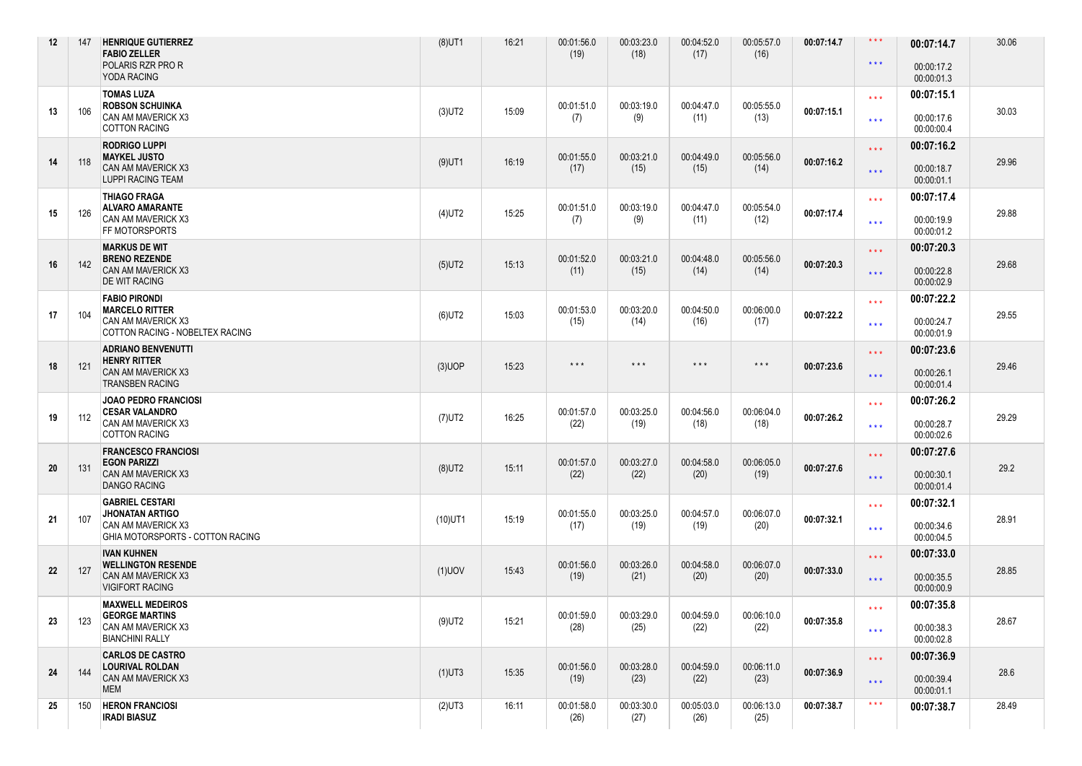| 12 | 147 | <b>HENRIQUE GUTIERREZ</b><br><b>FABIO ZELLER</b><br>POLARIS RZR PRO R<br>YODA RACING                       | $(8)$ UT1  | 16:21 | 00:01:56.0<br>(19)      | 00:03:23.0<br>(18)      | 00:04:52.0<br>(17)      | 00:05:57.0<br>(16)      | 00:07:14.7 | $\star\star\star$<br>$\star\star\star$       | 00:07:14.7<br>00:00:17.2<br>00:00:01.3 | 30.06 |
|----|-----|------------------------------------------------------------------------------------------------------------|------------|-------|-------------------------|-------------------------|-------------------------|-------------------------|------------|----------------------------------------------|----------------------------------------|-------|
| 13 | 106 | <b>TOMAS LUZA</b><br><b>ROBSON SCHUINKA</b><br>CAN AM MAVERICK X3<br><b>COTTON RACING</b>                  | $(3)$ UT2  | 15:09 | 00:01:51.0<br>(7)       | 00:03:19.0<br>(9)       | 00:04:47.0<br>(11)      | 00:05:55.0<br>(13)      | 00:07:15.1 | $\star \star \star$<br>$\star\star\star$     | 00:07:15.1<br>00:00:17.6<br>00:00:00.4 | 30.03 |
| 14 | 118 | <b>RODRIGO LUPPI</b><br><b>MAYKEL JUSTO</b><br>CAN AM MAVERICK X3<br><b>LUPPI RACING TEAM</b>              | $(9)$ UT1  | 16:19 | 00:01:55.0<br>(17)      | 00:03:21.0<br>(15)      | 00:04:49.0<br>(15)      | 00:05:56.0<br>(14)      | 00:07:16.2 | $\star\star\star$<br>$\star\star\star$       | 00:07:16.2<br>00:00:18.7<br>00:00:01.1 | 29.96 |
| 15 | 126 | <b>THIAGO FRAGA</b><br><b>ALVARO AMARANTE</b><br>CAN AM MAVERICK X3<br>FF MOTORSPORTS                      | $(4)$ UT2  | 15:25 | 00:01:51.0<br>(7)       | 00:03:19.0<br>(9)       | 00:04:47.0<br>(11)      | 00:05:54.0<br>(12)      | 00:07:17.4 | $\star\star\star$<br>$\star\star\star$       | 00:07:17.4<br>00:00:19.9<br>00:00:01.2 | 29.88 |
| 16 | 142 | <b>MARKUS DE WIT</b><br><b>BRENO REZENDE</b><br>CAN AM MAVERICK X3<br><b>DE WIT RACING</b>                 | $(5)$ UT2  | 15:13 | 00:01:52.0<br>(11)      | 00:03:21.0<br>(15)      | 00:04:48.0<br>(14)      | 00:05:56.0<br>(14)      | 00:07:20.3 | $\star$ $\star$ $\star$<br>$\star\star\star$ | 00:07:20.3<br>00:00:22.8<br>00:00:02.9 | 29.68 |
| 17 | 104 | <b>FABIO PIRONDI</b><br><b>MARCELO RITTER</b><br>CAN AM MAVERICK X3<br>COTTON RACING - NOBELTEX RACING     | $(6)$ UT2  | 15:03 | 00:01:53.0<br>(15)      | 00:03:20.0<br>(14)      | 00:04:50.0<br>(16)      | 00:06:00.0<br>(17)      | 00:07:22.2 | $\star\star\star$<br>$\star\star\star$       | 00:07:22.2<br>00:00:24.7<br>00:00:01.9 | 29.55 |
| 18 | 121 | <b>ADRIANO BENVENUTTI</b><br><b>HENRY RITTER</b><br>CAN AM MAVERICK X3<br><b>TRANSBEN RACING</b>           | $(3)$ UOP  | 15:23 | $\star$ $\star$ $\star$ | $\star$ $\star$ $\star$ | $\star$ $\star$ $\star$ | $\star$ $\star$ $\star$ | 00:07:23.6 | $\star\star\star$<br>$\star\star\star$       | 00:07:23.6<br>00:00:26.1<br>00:00:01.4 | 29.46 |
| 19 | 112 | <b>JOAO PEDRO FRANCIOSI</b><br><b>CESAR VALANDRO</b><br>CAN AM MAVERICK X3<br><b>COTTON RACING</b>         | $(7)$ UT2  | 16:25 | 00:01:57.0<br>(22)      | 00:03:25.0<br>(19)      | 00:04:56.0<br>(18)      | 00:06:04.0<br>(18)      | 00:07:26.2 | $***$<br>$\star\star\star$                   | 00:07:26.2<br>00:00:28.7<br>00:00:02.6 | 29.29 |
| 20 | 131 | <b>FRANCESCO FRANCIOSI</b><br><b>EGON PARIZZI</b><br>CAN AM MAVERICK X3<br><b>DANGO RACING</b>             | $(8)$ UT2  | 15:11 | 00:01:57.0<br>(22)      | 00:03:27.0<br>(22)      | 00:04:58.0<br>(20)      | 00:06:05.0<br>(19)      | 00:07:27.6 | $\star\star\star$<br>$\star\star\star$       | 00:07:27.6<br>00:00:30.1<br>00:00:01.4 | 29.2  |
| 21 | 107 | <b>GABRIEL CESTARI</b><br><b>JHONATAN ARTIGO</b><br>CAN AM MAVERICK X3<br>GHIA MOTORSPORTS - COTTON RACING | $(10)$ UT1 | 15:19 | 00:01:55.0<br>(17)      | 00:03:25.0<br>(19)      | 00:04:57.0<br>(19)      | 00:06:07.0<br>(20)      | 00:07:32.1 | $***$<br>$\star\star\star$                   | 00:07:32.1<br>00:00:34.6<br>00:00:04.5 | 28.91 |
| 22 | 127 | <b>IVAN KUHNEN</b><br><b>WELLINGTON RESENDE</b><br>CAN AM MAVERICK X3<br><b>VIGIFORT RACING</b>            | $(1)$ UOV  | 15:43 | 00:01:56.0<br>(19)      | 00:03:26.0<br>(21)      | 00:04:58.0<br>(20)      | 00:06:07.0<br>(20)      | 00:07:33.0 | $\star\star\star$<br>$\star\star\star$       | 00:07:33.0<br>00:00:35.5<br>00:00:00.9 | 28.85 |
| 23 | 123 | <b>MAXWELL MEDEIROS</b><br><b>GEORGE MARTINS</b><br>CAN AM MAVERICK X3<br><b>BIANCHINI RALLY</b>           | $(9)$ UT2  | 15:21 | 00:01:59.0<br>(28)      | 00:03:29.0<br>(25)      | 00:04:59.0<br>(22)      | 00:06:10.0<br>(22)      | 00:07:35.8 | $\star\star\star$<br>$\star\star\star$       | 00:07:35.8<br>00:00:38.3<br>00:00:02.8 | 28.67 |
| 24 | 144 | <b>CARLOS DE CASTRO</b><br>LOURIVAL ROLDAN<br>CAN AM MAVERICK X3<br><b>MEM</b>                             | $(1)$ UT3  | 15:35 | 00:01:56.0<br>(19)      | 00:03:28.0<br>(23)      | 00:04:59.0<br>(22)      | 00:06:11.0<br>(23)      | 00:07:36.9 | $\star \star \star$<br>$\star\star\star$     | 00:07:36.9<br>00:00:39.4<br>00:00:01.1 | 28.6  |
| 25 | 150 | <b>HERON FRANCIOSI</b><br><b>IRADI BIASUZ</b>                                                              | $(2)$ UT3  | 16:11 | 00:01:58.0<br>(26)      | 00:03:30.0<br>(27)      | 00:05:03.0<br>(26)      | 00:06:13.0<br>(25)      | 00:07:38.7 | $\star\star\star$                            | 00:07:38.7                             | 28.49 |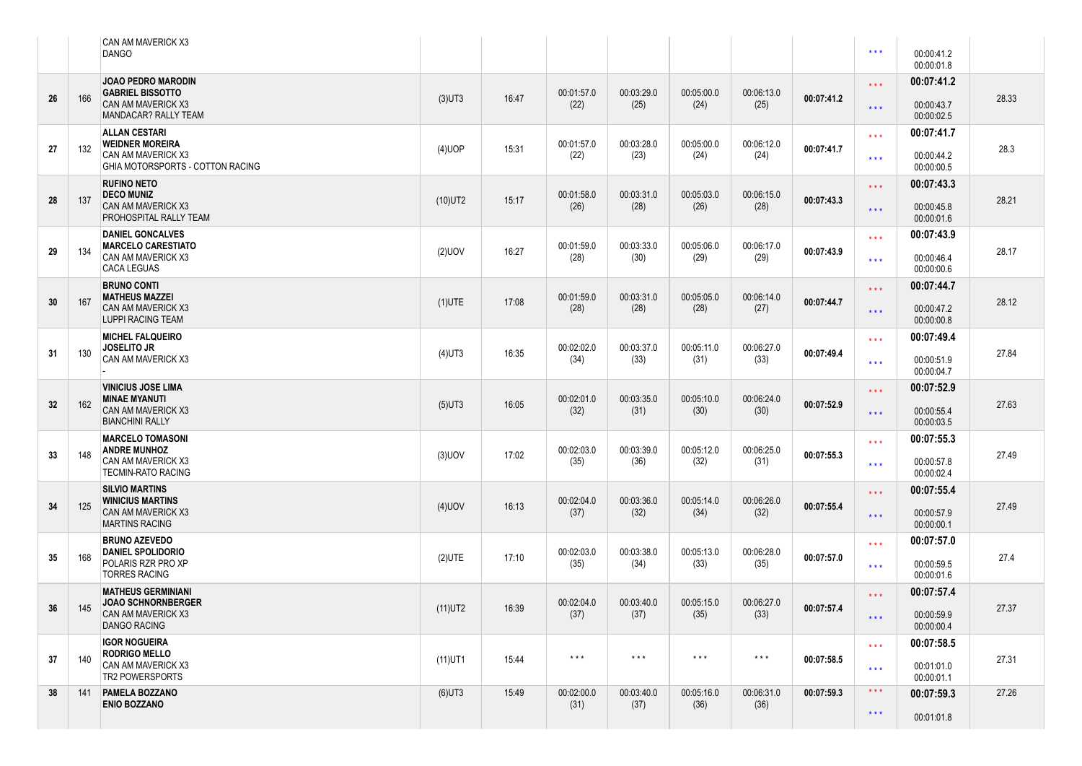|    |     | CAN AM MAVERICK X3<br><b>DANGO</b>                                         |            |       |                         |                         |                         |                         |            | $\star\star\star$       | 00:00:41.2<br>00:00:01.8 |       |
|----|-----|----------------------------------------------------------------------------|------------|-------|-------------------------|-------------------------|-------------------------|-------------------------|------------|-------------------------|--------------------------|-------|
| 26 | 166 | <b>JOAO PEDRO MARODIN</b><br><b>GABRIEL BISSOTTO</b><br>CAN AM MAVERICK X3 | $(3)$ UT3  | 16:47 | 00:01:57.0              | 00:03:29.0              | 00:05:00.0              | 00:06:13.0              | 00:07:41.2 | $\star\star\star$       | 00:07:41.2               | 28.33 |
|    |     | MANDACAR? RALLY TEAM                                                       |            |       | (22)                    | (25)                    | (24)                    | (25)                    |            | $\star\star\star$       | 00:00:43.7<br>00:00:02.5 |       |
| 27 | 132 | <b>ALLAN CESTARI</b><br><b>WEIDNER MOREIRA</b>                             | $(4)$ UOP  | 15:31 | 00:01:57.0              | 00:03:28.0              | 00:05:00.0              | 00:06:12.0              | 00:07:41.7 | $\star\star\star$       | 00:07:41.7               | 28.3  |
|    |     | CAN AM MAVERICK X3<br>GHIA MOTORSPORTS - COTTON RACING                     |            |       | (22)                    | (23)                    | (24)                    | (24)                    |            | $\star \star \star$     | 00:00:44.2<br>00:00:00.5 |       |
| 28 | 137 | <b>RUFINO NETO</b><br><b>DECO MUNIZ</b>                                    | $(10)$ UT2 | 15:17 | 00:01:58.0              | 00:03:31.0              | 00:05:03.0              | 00:06:15.0              | 00:07:43.3 | $\star \star \star$     | 00:07:43.3               | 28.21 |
|    |     | CAN AM MAVERICK X3<br>PROHOSPITAL RALLY TEAM                               |            |       | (26)                    | (28)                    | (26)                    | (28)                    |            | $\star$ $\star$ $\star$ | 00:00:45.8<br>00:00:01.6 |       |
| 29 | 134 | <b>DANIEL GONCALVES</b><br><b>MARCELO CARESTIATO</b>                       | $(2)$ UOV  | 16:27 | 00:01:59.0              | 00:03:33.0              | 00:05:06.0              | 00:06:17.0              | 00:07:43.9 | $\star\star\star$       | 00:07:43.9               | 28.17 |
|    |     | CAN AM MAVERICK X3<br><b>CACA LEGUAS</b>                                   |            |       | (28)                    | (30)                    | (29)                    | (29)                    |            | $\star\star\star$       | 00:00:46.4<br>00:00:00.6 |       |
| 30 | 167 | <b>BRUNO CONTI</b><br><b>MATHEUS MAZZEI</b>                                | $(1)$ UTE  | 17:08 | 00:01:59.0              | 00:03:31.0              | 00:05:05.0              | 00:06:14.0              | 00:07:44.7 | $\star\star\star$       | 00:07:44.7               | 28.12 |
|    |     | CAN AM MAVERICK X3<br><b>LUPPI RACING TEAM</b>                             |            |       | (28)                    | (28)                    | (28)                    | (27)                    |            | $\star$ $\star$ $\star$ | 00:00:47.2<br>00:00:00.8 |       |
|    |     | <b>MICHEL FALQUEIRO</b><br><b>JOSELITO JR</b>                              |            | 16:35 | 00:02:02.0              | 00:03:37.0              | 00:05:11.0              | 00:06:27.0              |            | $***$                   | 00:07:49.4               | 27.84 |
| 31 | 130 | CAN AM MAVERICK X3                                                         | $(4)$ UT3  |       | (34)                    | (33)                    | (31)                    | (33)                    | 00:07:49.4 | $\star\star\star$       | 00:00:51.9<br>00:00:04.7 |       |
|    |     | <b>VINICIUS JOSE LIMA</b><br><b>MINAE MYANUTI</b>                          |            |       | 00:02:01.0              | 00:03:35.0              | 00:05:10.0              | 00:06:24.0              |            | $\star\star\star$       | 00:07:52.9               |       |
| 32 | 162 | CAN AM MAVERICK X3<br><b>BIANCHINI RALLY</b>                               | $(5)$ UT3  | 16:05 | (32)                    | (31)                    | (30)                    | (30)                    | 00:07:52.9 | $\star$ $\star$ $\star$ | 00:00:55.4<br>00:00:03.5 | 27.63 |
|    |     | <b>MARCELO TOMASONI</b><br><b>ANDRE MUNHOZ</b>                             |            |       | 00:02:03.0              | 00:03:39.0              | 00:05:12.0              | 00:06:25.0              |            | $\star\star\star$       | 00:07:55.3               |       |
| 33 | 148 | CAN AM MAVERICK X3<br><b>TECMIN-RATO RACING</b>                            | $(3)$ UOV  | 17:02 | (35)                    | (36)                    | (32)                    | (31)                    | 00:07:55.3 | $\star\star\star$       | 00:00:57.8<br>00:00:02.4 | 27.49 |
|    |     | <b>SILVIO MARTINS</b><br><b>WINICIUS MARTINS</b>                           |            |       | 00:02:04.0              | 00:03:36.0              | 00:05:14.0              | 00:06:26.0              |            | $\star \star \star$     | 00:07:55.4               |       |
| 34 | 125 | CAN AM MAVERICK X3<br><b>MARTINS RACING</b>                                | $(4)$ UOV  | 16:13 | (37)                    | (32)                    | (34)                    | (32)                    | 00:07:55.4 | $\star$ $\star$ $\star$ | 00:00:57.9<br>00:00:00.1 | 27.49 |
|    |     | <b>BRUNO AZEVEDO</b><br><b>DANIEL SPOLIDORIO</b>                           |            |       | 00:02:03.0              | 00:03:38.0              | 00:05:13.0              | 00:06:28.0              |            | $\star\star\star$       | 00:07:57.0               |       |
| 35 | 168 | POLARIS RZR PRO XP<br><b>TORRES RACING</b>                                 | $(2)$ UTE  | 17:10 | (35)                    | (34)                    | (33)                    | (35)                    | 00:07:57.0 | $***$                   | 00:00:59.5<br>00:00:01.6 | 27.4  |
|    |     | <b>MATHEUS GERMINIANI</b><br><b>JOAO SCHNORNBERGER</b>                     |            |       | 00:02:04.0              | 00:03:40.0              | 00:05:15.0              | 00:06:27.0              |            | $\star \star \star$     | 00:07:57.4               |       |
| 36 | 145 | CAN AM MAVERICK X3<br><b>DANGO RACING</b>                                  | $(11)$ UT2 | 16:39 | (37)                    | (37)                    | (35)                    | (33)                    | 00:07:57.4 | $\star\star\star$       | 00:00:59.9<br>00:00:00.4 | 27.37 |
|    |     | <b>IGOR NOGUEIRA</b><br><b>RODRIGO MELLO</b>                               |            |       | $\star$ $\star$ $\star$ | $\star$ $\star$ $\star$ |                         | $\star$ $\star$ $\star$ |            | $\star\star\star$       | 00:07:58.5               |       |
| 37 | 140 | CAN AM MAVERICK X3<br>TR2 POWERSPORTS                                      | $(11)$ UT1 | 15:44 |                         |                         | $\star$ $\star$ $\star$ |                         | 00:07:58.5 | $\star\star\star$       | 00:01:01.0<br>00:00:01.1 | 27.31 |
| 38 | 141 | PAMELA BOZZANO<br><b>ENIO BOZZANO</b>                                      | $(6)$ UT3  | 15:49 | 00:02:00.0<br>(31)      | 00:03:40.0<br>(37)      | 00:05:16.0<br>(36)      | 00:06:31.0<br>(36)      | 00:07:59.3 | $\star$ $\star$ $\star$ | 00:07:59.3               | 27.26 |
|    |     |                                                                            |            |       |                         |                         |                         |                         |            | $\star\star\star$       | 00:01:01.8               |       |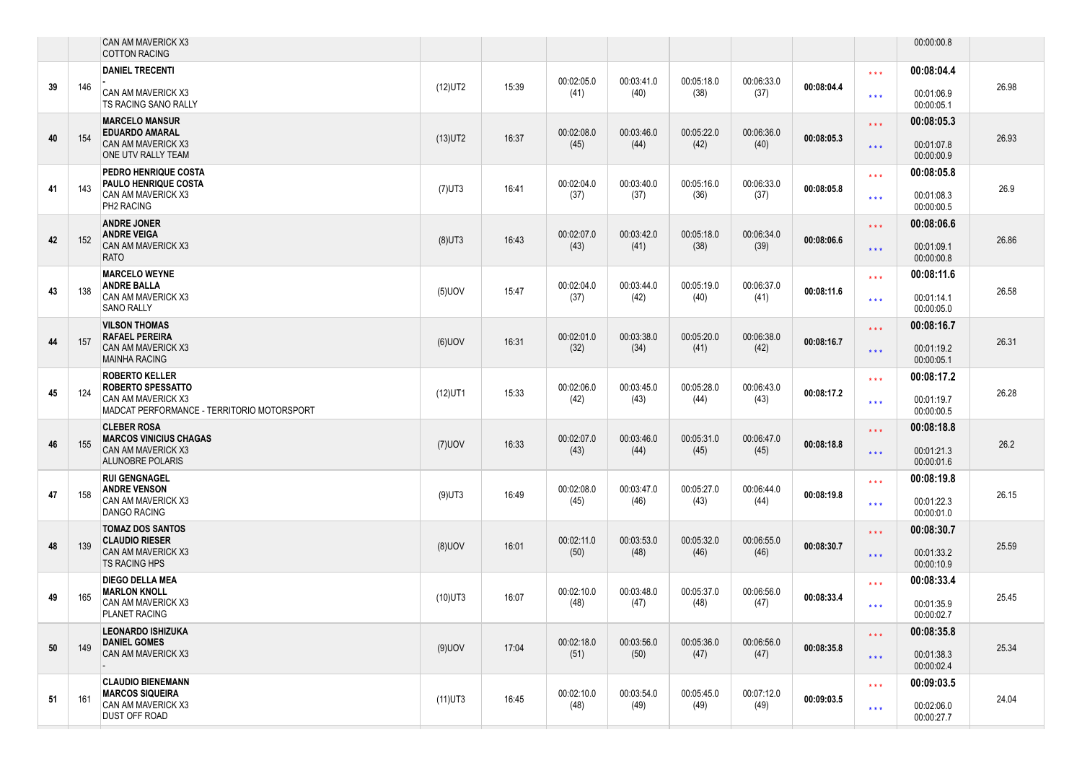|    |     | CAN AM MAVERICK X3<br><b>COTTON RACING</b>                                                                            |            |       |                    |                    |                    |                    |            |                                          | 00:00:00.8                             |       |
|----|-----|-----------------------------------------------------------------------------------------------------------------------|------------|-------|--------------------|--------------------|--------------------|--------------------|------------|------------------------------------------|----------------------------------------|-------|
| 39 | 146 | <b>DANIEL TRECENTI</b><br>CAN AM MAVERICK X3<br>TS RACING SANO RALLY                                                  | $(12)$ UT2 | 15:39 | 00:02:05.0<br>(41) | 00:03:41.0<br>(40) | 00:05:18.0<br>(38) | 00:06:33.0<br>(37) | 00:08:04.4 | $\star\star\star$<br>$\star \star \star$ | 00:08:04.4<br>00:01:06.9<br>00:00:05.1 | 26.98 |
| 40 | 154 | <b>MARCELO MANSUR</b><br><b>EDUARDO AMARAL</b><br><b>CAN AM MAVERICK X3</b><br>ONE UTV RALLY TEAM                     | $(13)$ UT2 | 16:37 | 00:02:08.0<br>(45) | 00:03:46.0<br>(44) | 00:05:22.0<br>(42) | 00:06:36.0<br>(40) | 00:08:05.3 | $\star\star\star$<br>$\star\star\star$   | 00:08:05.3<br>00:01:07.8<br>00:00:00.9 | 26.93 |
| 41 | 143 | PEDRO HENRIQUE COSTA<br><b>PAULO HENRIQUE COSTA</b><br>CAN AM MAVERICK X3<br>PH2 RACING                               | $(7)$ UT3  | 16:41 | 00:02:04.0<br>(37) | 00:03:40.0<br>(37) | 00:05:16.0<br>(36) | 00:06:33.0<br>(37) | 00:08:05.8 | $\star\star\star$<br>$***$               | 00:08:05.8<br>00:01:08.3<br>00:00:00.5 | 26.9  |
| 42 | 152 | <b>ANDRE JONER</b><br><b>ANDRE VEIGA</b><br>CAN AM MAVERICK X3<br><b>RATO</b>                                         | $(8)$ UT3  | 16:43 | 00:02:07.0<br>(43) | 00:03:42.0<br>(41) | 00:05:18.0<br>(38) | 00:06:34.0<br>(39) | 00:08:06.6 | $\star \star \star$<br>$\star\star\star$ | 00:08:06.6<br>00:01:09.1<br>00:00:00.8 | 26.86 |
| 43 | 138 | <b>MARCELO WEYNE</b><br><b>ANDRE BALLA</b><br>CAN AM MAVERICK X3<br><b>SANO RALLY</b>                                 | $(5)$ UOV  | 15:47 | 00:02:04.0<br>(37) | 00:03:44.0<br>(42) | 00:05:19.0<br>(40) | 00:06:37.0<br>(41) | 00:08:11.6 | $\star\star\star$<br>$***$               | 00:08:11.6<br>00:01:14.1<br>00:00:05.0 | 26.58 |
| 44 | 157 | <b>VILSON THOMAS</b><br><b>RAFAEL PEREIRA</b><br><b>CAN AM MAVERICK X3</b><br><b>MAINHA RACING</b>                    | $(6)$ UOV  | 16:31 | 00:02:01.0<br>(32) | 00:03:38.0<br>(34) | 00:05:20.0<br>(41) | 00:06:38.0<br>(42) | 00:08:16.7 | $\star\star\star$<br>$\star\star\star$   | 00:08:16.7<br>00:01:19.2<br>00:00:05.1 | 26.31 |
| 45 | 124 | <b>ROBERTO KELLER</b><br><b>ROBERTO SPESSATTO</b><br>CAN AM MAVERICK X3<br>MADCAT PERFORMANCE - TERRITORIO MOTORSPORT | $(12)$ UT1 | 15:33 | 00:02:06.0<br>(42) | 00:03:45.0<br>(43) | 00:05:28.0<br>(44) | 00:06:43.0<br>(43) | 00:08:17.2 | $\star\star\star$<br>$\star\star\star$   | 00:08:17.2<br>00:01:19.7<br>00:00:00.5 | 26.28 |
| 46 | 155 | <b>CLEBER ROSA</b><br><b>MARCOS VINICIUS CHAGAS</b><br><b>CAN AM MAVERICK X3</b><br>ALUNOBRE POLARIS                  | $(7)$ UOV  | 16:33 | 00:02:07.0<br>(43) | 00:03:46.0<br>(44) | 00:05:31.0<br>(45) | 00:06:47.0<br>(45) | 00:08:18.8 | $\star\star\star$<br>$\star\star\star$   | 00:08:18.8<br>00:01:21.3<br>00:00:01.6 | 26.2  |
| 47 | 158 | <b>RUI GENGNAGEL</b><br><b>ANDRE VENSON</b><br>CAN AM MAVERICK X3<br>DANGO RACING                                     | $(9)$ UT3  | 16:49 | 00:02:08.0<br>(45) | 00:03:47.0<br>(46) | 00:05:27.0<br>(43) | 00:06:44.0<br>(44) | 00:08:19.8 | $\star\star\star$<br>$***$               | 00:08:19.8<br>00:01:22.3<br>00:00:01.0 | 26.15 |
| 48 | 139 | <b>TOMAZ DOS SANTOS</b><br><b>CLAUDIO RIESER</b><br>CAN AM MAVERICK X3<br><b>TS RACING HPS</b>                        | $(8)$ UOV  | 16:01 | 00:02:11.0<br>(50) | 00:03:53.0<br>(48) | 00:05:32.0<br>(46) | 00:06:55.0<br>(46) | 00:08:30.7 | $\star\star\star$<br>$\star\star\star$   | 00:08:30.7<br>00:01:33.2<br>00:00:10.9 | 25.59 |
| 49 | 165 | <b>DIEGO DELLA MEA</b><br><b>MARLON KNOLL</b><br>CAN AM MAVERICK X3<br>PLANET RACING                                  | $(10)$ UT3 | 16:07 | 00:02:10.0<br>(48) | 00:03:48.0<br>(47) | 00:05:37.0<br>(48) | 00:06:56.0<br>(47) | 00:08:33.4 | $\star\star\star$<br>$***$               | 00:08:33.4<br>00:01:35.9<br>00:00:02.7 | 25.45 |
| 50 | 149 | <b>LEONARDO ISHIZUKA</b><br><b>DANIEL GOMES</b><br>CAN AM MAVERICK X3                                                 | $(9)$ UOV  | 17:04 | 00:02:18.0<br>(51) | 00:03:56.0<br>(50) | 00:05:36.0<br>(47) | 00:06:56.0<br>(47) | 00:08:35.8 | $\star\star\star$<br>$\star\star\star$   | 00:08:35.8<br>00:01:38.3<br>00:00:02.4 | 25.34 |
| 51 | 161 | <b>CLAUDIO BIENEMANN</b><br><b>MARCOS SIQUEIRA</b><br>CAN AM MAVERICK X3<br>DUST OFF ROAD                             | $(11)$ UT3 | 16:45 | 00:02:10.0<br>(48) | 00:03:54.0<br>(49) | 00:05:45.0<br>(49) | 00:07:12.0<br>(49) | 00:09:03.5 | $\star\star\star$<br>$\star\star\star$   | 00:09:03.5<br>00:02:06.0<br>00:00:27.7 | 24.04 |
|    |     |                                                                                                                       |            |       |                    |                    |                    |                    |            |                                          |                                        |       |